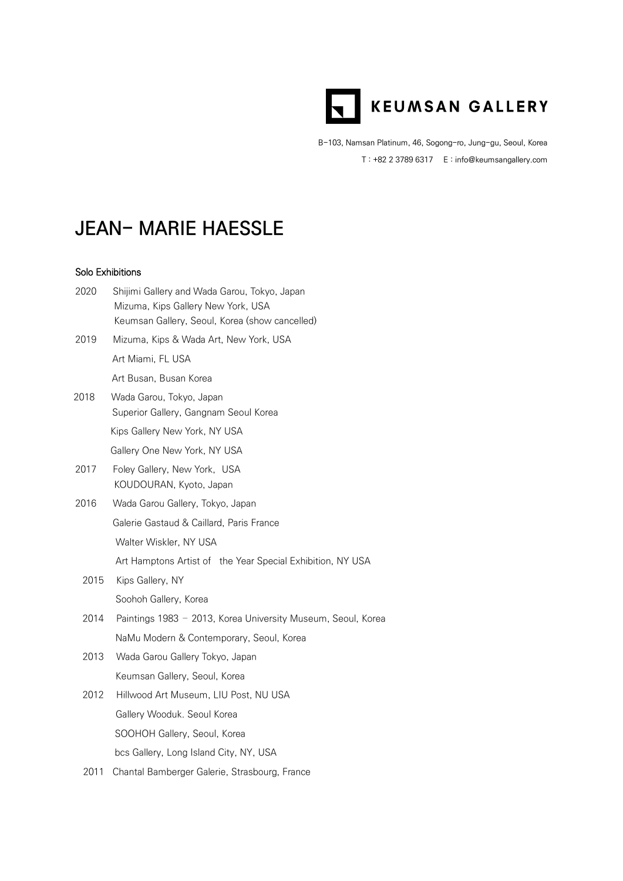

B-103, Namsan Platinum, 46, Sogong-ro, Jung-gu, Seoul, Korea T : +82 2 3789 6317 E : info@keumsangallery.com

## **JEAN- MARIE HAESSLE**

## Solo Exhibitions

| 2020 | Shijimi Gallery and Wada Garou, Tokyo, Japan<br>Mizuma, Kips Gallery New York, USA<br>Keumsan Gallery, Seoul, Korea (show cancelled) |
|------|--------------------------------------------------------------------------------------------------------------------------------------|
| 2019 | Mizuma, Kips & Wada Art, New York, USA                                                                                               |
|      | Art Miami, FL USA                                                                                                                    |
|      | Art Busan, Busan Korea                                                                                                               |
| 2018 | Wada Garou, Tokyo, Japan<br>Superior Gallery, Gangnam Seoul Korea                                                                    |
|      | Kips Gallery New York, NY USA                                                                                                        |
|      | Gallery One New York, NY USA                                                                                                         |
| 2017 | Foley Gallery, New York, USA<br>KOUDOURAN, Kyoto, Japan                                                                              |
| 2016 | Wada Garou Gallery, Tokyo, Japan                                                                                                     |
|      | Galerie Gastaud & Caillard, Paris France                                                                                             |
|      | Walter Wiskler, NY USA                                                                                                               |
|      | Art Hamptons Artist of the Year Special Exhibition, NY USA                                                                           |
| 2015 | Kips Gallery, NY                                                                                                                     |
|      | Soohoh Gallery, Korea                                                                                                                |
| 2014 | Paintings 1983 - 2013, Korea University Museum, Seoul, Korea                                                                         |
|      | NaMu Modern & Contemporary, Seoul, Korea                                                                                             |
| 2013 | Wada Garou Gallery Tokyo, Japan                                                                                                      |
|      | Keumsan Gallery, Seoul, Korea                                                                                                        |
| 2012 | Hillwood Art Museum, LIU Post, NU USA                                                                                                |
|      | Gallery Wooduk. Seoul Korea                                                                                                          |
|      | SOOHOH Gallery, Seoul, Korea                                                                                                         |
|      | bcs Gallery, Long Island City, NY, USA                                                                                               |
| 2011 | Chantal Bamberger Galerie, Strasbourg, France                                                                                        |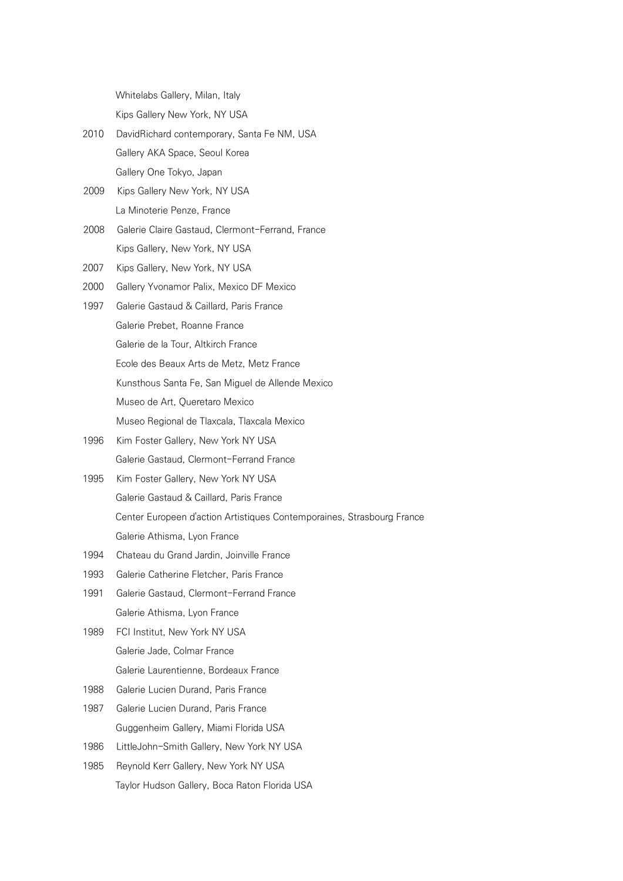Whitelabs Gallery, Milan, Italy

Kips Gallery New York, NY USA

- 2010 DavidRichard contemporary, Santa Fe NM, USA Gallery AKA Space, Seoul Korea Gallery One Tokyo, Japan
- 2009 Kips Gallery New York, NY USA La Minoterie Penze, France
- 2008 Galerie Claire Gastaud, Clermont-Ferrand, France Kips Gallery, New York, NY USA
- 2007 Kips Gallery, New York, NY USA
- 2000 Gallery Yvonamor Palix, Mexico DF Mexico
- 1997 Galerie Gastaud & Caillard, Paris France Galerie Prebet, Roanne France Galerie de la Tour, Altkirch France Ecole des Beaux Arts de Metz, Metz France Kunsthous Santa Fe, San Miguel de Allende Mexico Museo de Art, Queretaro Mexico Museo Regional de Tlaxcala, Tlaxcala Mexico
- 1996 Kim Foster Gallery, New York NY USA Galerie Gastaud, Clermont-Ferrand France
- 1995 Kim Foster Gallery, New York NY USA Galerie Gastaud & Caillard, Paris France Center Europeen d'action Artistiques Contemporaines, Strasbourg France Galerie Athisma, Lyon France
- 1994 Chateau du Grand Jardin, Joinville France
- 1993 Galerie Catherine Fletcher, Paris France
- 1991 Galerie Gastaud, Clermont-Ferrand France Galerie Athisma, Lyon France
- 1989 FCI Institut, New York NY USA Galerie Jade, Colmar France Galerie Laurentienne, Bordeaux France
- 1988 Galerie Lucien Durand, Paris France
- 1987 Galerie Lucien Durand, Paris France Guggenheim Gallery, Miami Florida USA
- 1986 LittleJohn-Smith Gallery, New York NY USA
- 1985 Reynold Kerr Gallery, New York NY USA Taylor Hudson Gallery, Boca Raton Florida USA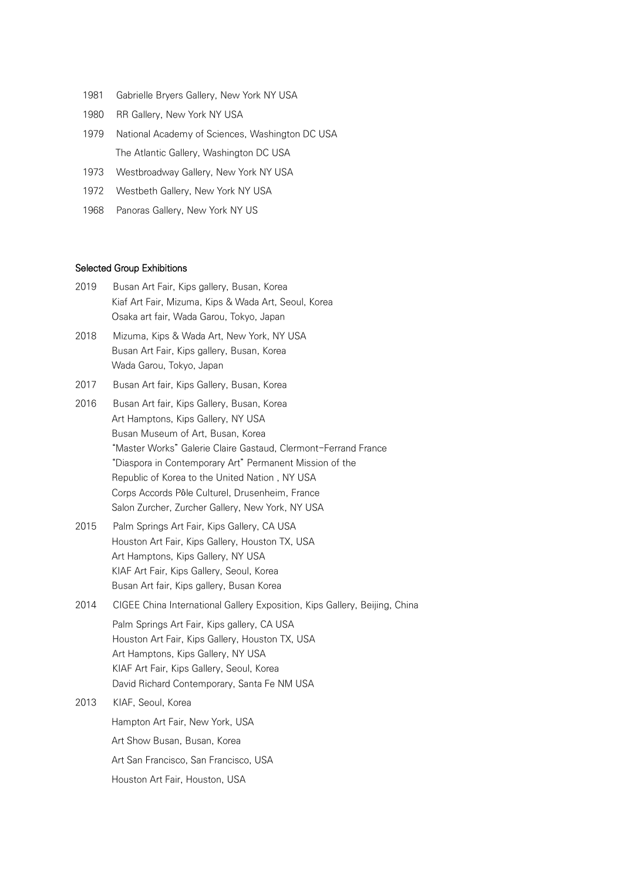- 1981 Gabrielle Bryers Gallery, New York NY USA
- 1980 RR Gallery, New York NY USA
- 1979 National Academy of Sciences, Washington DC USA The Atlantic Gallery, Washington DC USA
- 1973 Westbroadway Gallery, New York NY USA
- 1972 Westbeth Gallery, New York NY USA
- 1968 Panoras Gallery, New York NY US

## Selected Group Exhibitions

- 2019 Busan Art Fair, Kips gallery, Busan, Korea Kiaf Art Fair, Mizuma, Kips & Wada Art, Seoul, Korea Osaka art fair, Wada Garou, Tokyo, Japan
- 2018 Mizuma, Kips & Wada Art, New York, NY USA Busan Art Fair, Kips gallery, Busan, Korea Wada Garou, Tokyo, Japan
- 2017 Busan Art fair, Kips Gallery, Busan, Korea
- 2016 Busan Art fair, Kips Gallery, Busan, Korea Art Hamptons, Kips Gallery, NY USA Busan Museum of Art, Busan, Korea "Master Works" Galerie Claire Gastaud, Clermont-Ferrand France "Diaspora in Contemporary Art" Permanent Mission of the Republic of Korea to the United Nation , NY USA Corps Accords Pôle Culturel, Drusenheim, France Salon Zurcher, Zurcher Gallery, New York, NY USA
- 2015 Palm Springs Art Fair, Kips Gallery, CA USA Houston Art Fair, Kips Gallery, Houston TX, USA Art Hamptons, Kips Gallery, NY USA KIAF Art Fair, Kips Gallery, Seoul, Korea Busan Art fair, Kips gallery, Busan Korea
- 2014 CIGEE China International Gallery Exposition, Kips Gallery, Beijing, China Palm Springs Art Fair, Kips gallery, CA USA Houston Art Fair, Kips Gallery, Houston TX, USA Art Hamptons, Kips Gallery, NY USA KIAF Art Fair, Kips Gallery, Seoul, Korea David Richard Contemporary, Santa Fe NM USA
- 2013 KIAF, Seoul, Korea Hampton Art Fair, New York, USA Art Show Busan, Busan, Korea Art San Francisco, San Francisco, USA Houston Art Fair, Houston, USA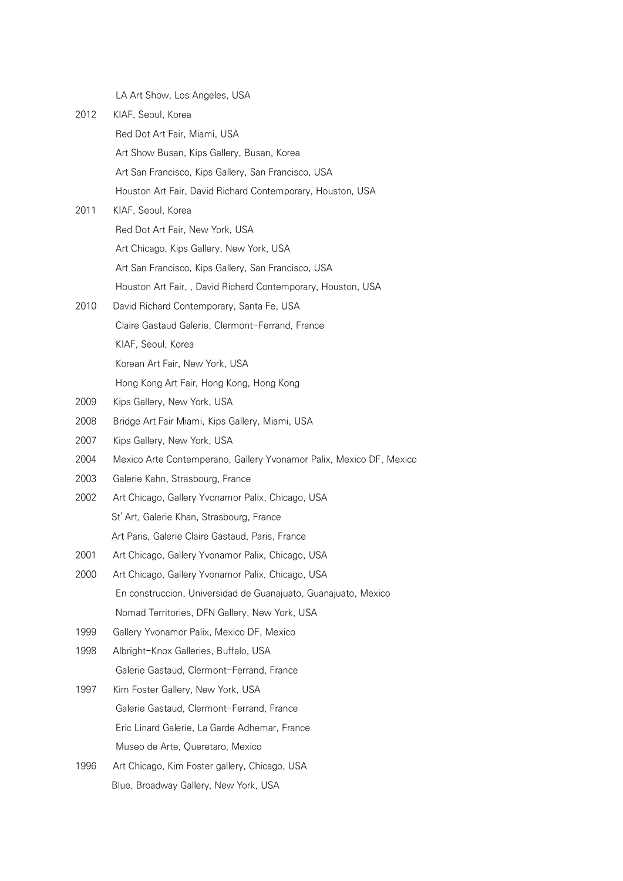LA Art Show, Los Angeles, USA

| 2012 | KIAF, Seoul, Korea                                                  |
|------|---------------------------------------------------------------------|
|      | Red Dot Art Fair, Miami, USA                                        |
|      | Art Show Busan, Kips Gallery, Busan, Korea                          |
|      | Art San Francisco, Kips Gallery, San Francisco, USA                 |
|      | Houston Art Fair, David Richard Contemporary, Houston, USA          |
| 2011 | KIAF, Seoul, Korea                                                  |
|      | Red Dot Art Fair, New York, USA                                     |
|      | Art Chicago, Kips Gallery, New York, USA                            |
|      | Art San Francisco, Kips Gallery, San Francisco, USA                 |
|      | Houston Art Fair,, David Richard Contemporary, Houston, USA         |
| 2010 | David Richard Contemporary, Santa Fe, USA                           |
|      | Claire Gastaud Galerie, Clermont-Ferrand, France                    |
|      | KIAF, Seoul, Korea                                                  |
|      | Korean Art Fair, New York, USA                                      |
|      | Hong Kong Art Fair, Hong Kong, Hong Kong                            |
| 2009 | Kips Gallery, New York, USA                                         |
| 2008 | Bridge Art Fair Miami, Kips Gallery, Miami, USA                     |
| 2007 | Kips Gallery, New York, USA                                         |
| 2004 | Mexico Arte Contemperano, Gallery Yvonamor Palix, Mexico DF, Mexico |
| 2003 | Galerie Kahn, Strasbourg, France                                    |
| 2002 | Art Chicago, Gallery Yvonamor Palix, Chicago, USA                   |
|      | St' Art, Galerie Khan, Strasbourg, France                           |
|      | Art Paris, Galerie Claire Gastaud, Paris, France                    |
| 2001 | Art Chicago, Gallery Yvonamor Palix, Chicago, USA                   |
| 2000 | Art Chicago, Gallery Yvonamor Palix, Chicago, USA                   |
|      | En construccion, Universidad de Guanajuato, Guanajuato, Mexico      |
|      | Nomad Territories, DFN Gallery, New York, USA                       |
| 1999 | Gallery Yvonamor Palix, Mexico DF, Mexico                           |
| 1998 | Albright-Knox Galleries, Buffalo, USA                               |
|      | Galerie Gastaud, Clermont-Ferrand, France                           |
| 1997 | Kim Foster Gallery, New York, USA                                   |
|      | Galerie Gastaud, Clermont-Ferrand, France                           |
|      | Eric Linard Galerie, La Garde Adhemar, France                       |
|      | Museo de Arte, Queretaro, Mexico                                    |
| 1996 | Art Chicago, Kim Foster gallery, Chicago, USA                       |
|      | Blue, Broadway Gallery, New York, USA                               |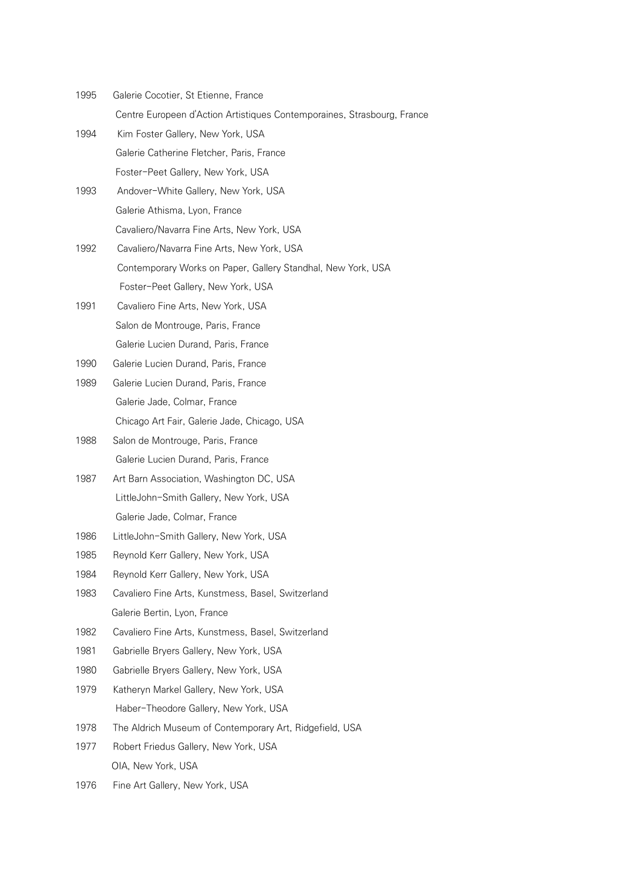| 1995 | Galerie Cocotier, St Etienne, France                                    |  |
|------|-------------------------------------------------------------------------|--|
|      | Centre Europeen d'Action Artistiques Contemporaines, Strasbourg, France |  |

- 1994 Kim Foster Gallery, New York, USA Galerie Catherine Fletcher, Paris, France Foster-Peet Gallery, New York, USA
- 1993 Andover-White Gallery, New York, USA Galerie Athisma, Lyon, France Cavaliero/Navarra Fine Arts, New York, USA
- 1992 Cavaliero/Navarra Fine Arts, New York, USA Contemporary Works on Paper, Gallery Standhal, New York, USA Foster-Peet Gallery, New York, USA
- 1991 Cavaliero Fine Arts, New York, USA Salon de Montrouge, Paris, France Galerie Lucien Durand, Paris, France
- 1990 Galerie Lucien Durand, Paris, France
- 1989 Galerie Lucien Durand, Paris, France Galerie Jade, Colmar, France Chicago Art Fair, Galerie Jade, Chicago, USA
- 1988 Salon de Montrouge, Paris, France Galerie Lucien Durand, Paris, France
- 1987 Art Barn Association, Washington DC, USA LittleJohn-Smith Gallery, New York, USA Galerie Jade, Colmar, France
- 1986 LittleJohn-Smith Gallery, New York, USA
- 1985 Reynold Kerr Gallery, New York, USA
- 1984 Reynold Kerr Gallery, New York, USA
- 1983 Cavaliero Fine Arts, Kunstmess, Basel, Switzerland Galerie Bertin, Lyon, France
- 1982 Cavaliero Fine Arts, Kunstmess, Basel, Switzerland
- 1981 Gabrielle Bryers Gallery, New York, USA
- 1980 Gabrielle Bryers Gallery, New York, USA
- 1979 Katheryn Markel Gallery, New York, USA Haber-Theodore Gallery, New York, USA
- 1978 The Aldrich Museum of Contemporary Art, Ridgefield, USA
- 1977 Robert Friedus Gallery, New York, USA OIA, New York, USA
- 1976 Fine Art Gallery, New York, USA